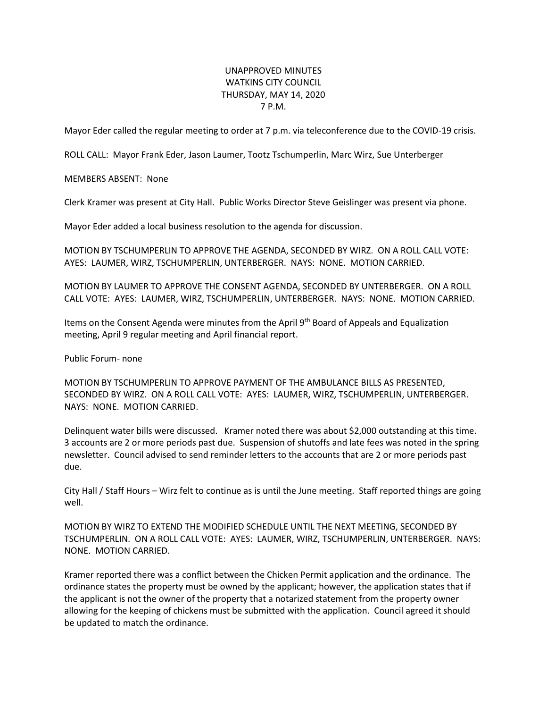## UNAPPROVED MINUTES WATKINS CITY COUNCIL THURSDAY, MAY 14, 2020 7 P.M.

Mayor Eder called the regular meeting to order at 7 p.m. via teleconference due to the COVID-19 crisis.

ROLL CALL: Mayor Frank Eder, Jason Laumer, Tootz Tschumperlin, Marc Wirz, Sue Unterberger

MEMBERS ABSENT: None

Clerk Kramer was present at City Hall. Public Works Director Steve Geislinger was present via phone.

Mayor Eder added a local business resolution to the agenda for discussion.

MOTION BY TSCHUMPERLIN TO APPROVE THE AGENDA, SECONDED BY WIRZ. ON A ROLL CALL VOTE: AYES: LAUMER, WIRZ, TSCHUMPERLIN, UNTERBERGER. NAYS: NONE. MOTION CARRIED.

MOTION BY LAUMER TO APPROVE THE CONSENT AGENDA, SECONDED BY UNTERBERGER. ON A ROLL CALL VOTE: AYES: LAUMER, WIRZ, TSCHUMPERLIN, UNTERBERGER. NAYS: NONE. MOTION CARRIED.

Items on the Consent Agenda were minutes from the April 9th Board of Appeals and Equalization meeting, April 9 regular meeting and April financial report.

Public Forum- none

MOTION BY TSCHUMPERLIN TO APPROVE PAYMENT OF THE AMBULANCE BILLS AS PRESENTED, SECONDED BY WIRZ. ON A ROLL CALL VOTE: AYES: LAUMER, WIRZ, TSCHUMPERLIN, UNTERBERGER. NAYS: NONE. MOTION CARRIED.

Delinquent water bills were discussed. Kramer noted there was about \$2,000 outstanding at this time. 3 accounts are 2 or more periods past due. Suspension of shutoffs and late fees was noted in the spring newsletter. Council advised to send reminder letters to the accounts that are 2 or more periods past due.

City Hall / Staff Hours – Wirz felt to continue as is until the June meeting. Staff reported things are going well.

MOTION BY WIRZ TO EXTEND THE MODIFIED SCHEDULE UNTIL THE NEXT MEETING, SECONDED BY TSCHUMPERLIN. ON A ROLL CALL VOTE: AYES: LAUMER, WIRZ, TSCHUMPERLIN, UNTERBERGER. NAYS: NONE. MOTION CARRIED.

Kramer reported there was a conflict between the Chicken Permit application and the ordinance. The ordinance states the property must be owned by the applicant; however, the application states that if the applicant is not the owner of the property that a notarized statement from the property owner allowing for the keeping of chickens must be submitted with the application. Council agreed it should be updated to match the ordinance.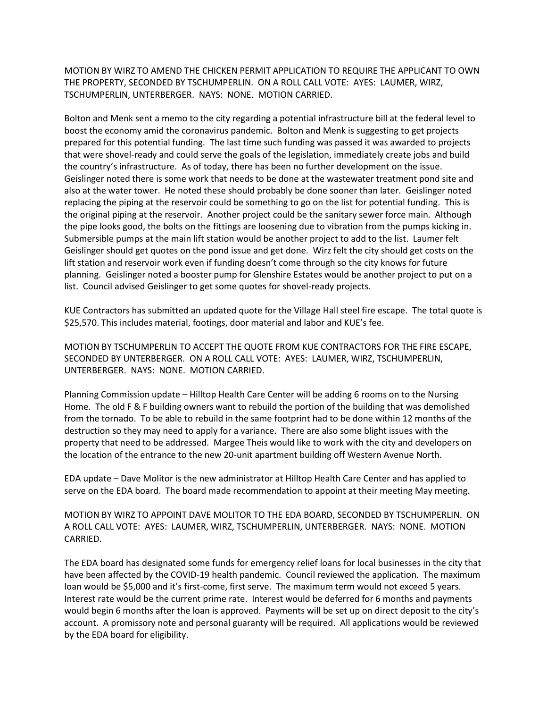MOTION BY WIRZ TO AMEND THE CHICKEN PERMIT APPLICATION TO REQUIRE THE APPLICANT TO OWN THE PROPERTY, SECONDED BY TSCHUMPERLIN. ON A ROLL CALL VOTE: AYES: LAUMER, WIRZ, TSCHUMPERLIN, UNTERBERGER. NAYS: NONE. MOTION CARRIED.

Bolton and Menk sent a memo to the city regarding a potential infrastructure bill at the federal level to boost the economy amid the coronavirus pandemic. Bolton and Menk is suggesting to get projects prepared for this potential funding. The last time such funding was passed it was awarded to projects that were shovel-ready and could serve the goals of the legislation, immediately create jobs and build the country's infrastructure. As of today, there has been no further development on the issue. Geislinger noted there is some work that needs to be done at the wastewater treatment pond site and also at the water tower. He noted these should probably be done sooner than later. Geislinger noted replacing the piping at the reservoir could be something to go on the list for potential funding. This is the original piping at the reservoir. Another project could be the sanitary sewer force main. Although the pipe looks good, the bolts on the fittings are loosening due to vibration from the pumps kicking in. Submersible pumps at the main lift station would be another project to add to the list. Laumer felt Geislinger should get quotes on the pond issue and get done. Wirz felt the city should get costs on the lift station and reservoir work even if funding doesn't come through so the city knows for future planning. Geislinger noted a booster pump for Glenshire Estates would be another project to put on a list. Council advised Geislinger to get some quotes for shovel-ready projects.

KUE Contractors has submitted an updated quote for the Village Hall steel fire escape. The total quote is \$25,570. This includes material, footings, door material and labor and KUE's fee.

MOTION BY TSCHUMPERLIN TO ACCEPT THE QUOTE FROM KUE CONTRACTORS FOR THE FIRE ESCAPE, SECONDED BY UNTERBERGER. ON A ROLL CALL VOTE: AYES: LAUMER, WIRZ, TSCHUMPERLIN, UNTERBERGER. NAYS: NONE. MOTION CARRIED.

Planning Commission update – Hilltop Health Care Center will be adding 6 rooms on to the Nursing Home. The old F & F building owners want to rebuild the portion of the building that was demolished from the tornado. To be able to rebuild in the same footprint had to be done within 12 months of the destruction so they may need to apply for a variance. There are also some blight issues with the property that need to be addressed. Margee Theis would like to work with the city and developers on the location of the entrance to the new 20-unit apartment building off Western Avenue North.

EDA update – Dave Molitor is the new administrator at Hilltop Health Care Center and has applied to serve on the EDA board. The board made recommendation to appoint at their meeting May meeting.

MOTION BY WIRZ TO APPOINT DAVE MOLITOR TO THE EDA BOARD, SECONDED BY TSCHUMPERLIN. ON A ROLL CALL VOTE: AYES: LAUMER, WIRZ, TSCHUMPERLIN, UNTERBERGER. NAYS: NONE. MOTION CARRIED.

The EDA board has designated some funds for emergency relief loans for local businesses in the city that have been affected by the COVID-19 health pandemic. Council reviewed the application. The maximum loan would be \$5,000 and it's first-come, first serve. The maximum term would not exceed 5 years. Interest rate would be the current prime rate. Interest would be deferred for 6 months and payments would begin 6 months after the loan is approved. Payments will be set up on direct deposit to the city's account. A promissory note and personal guaranty will be required. All applications would be reviewed by the EDA board for eligibility.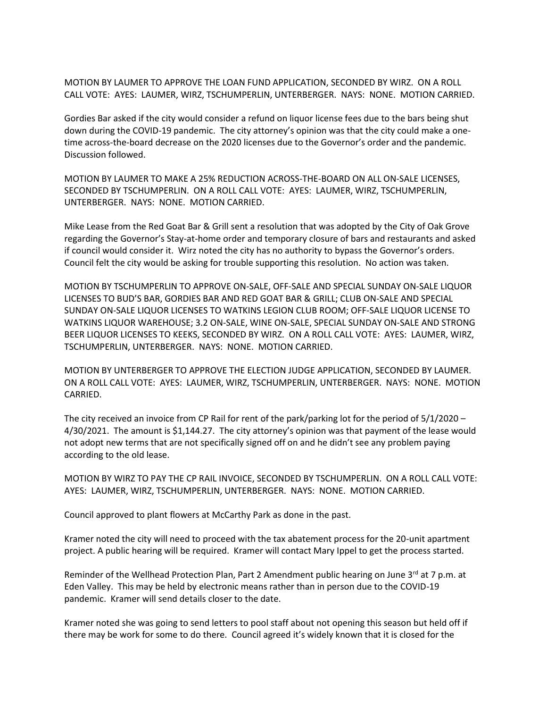MOTION BY LAUMER TO APPROVE THE LOAN FUND APPLICATION, SECONDED BY WIRZ. ON A ROLL CALL VOTE: AYES: LAUMER, WIRZ, TSCHUMPERLIN, UNTERBERGER. NAYS: NONE. MOTION CARRIED.

Gordies Bar asked if the city would consider a refund on liquor license fees due to the bars being shut down during the COVID-19 pandemic. The city attorney's opinion was that the city could make a onetime across-the-board decrease on the 2020 licenses due to the Governor's order and the pandemic. Discussion followed.

MOTION BY LAUMER TO MAKE A 25% REDUCTION ACROSS-THE-BOARD ON ALL ON-SALE LICENSES, SECONDED BY TSCHUMPERLIN. ON A ROLL CALL VOTE: AYES: LAUMER, WIRZ, TSCHUMPERLIN, UNTERBERGER. NAYS: NONE. MOTION CARRIED.

Mike Lease from the Red Goat Bar & Grill sent a resolution that was adopted by the City of Oak Grove regarding the Governor's Stay-at-home order and temporary closure of bars and restaurants and asked if council would consider it. Wirz noted the city has no authority to bypass the Governor's orders. Council felt the city would be asking for trouble supporting this resolution. No action was taken.

MOTION BY TSCHUMPERLIN TO APPROVE ON-SALE, OFF-SALE AND SPECIAL SUNDAY ON-SALE LIQUOR LICENSES TO BUD'S BAR, GORDIES BAR AND RED GOAT BAR & GRILL; CLUB ON-SALE AND SPECIAL SUNDAY ON-SALE LIQUOR LICENSES TO WATKINS LEGION CLUB ROOM; OFF-SALE LIQUOR LICENSE TO WATKINS LIQUOR WAREHOUSE; 3.2 ON-SALE, WINE ON-SALE, SPECIAL SUNDAY ON-SALE AND STRONG BEER LIQUOR LICENSES TO KEEKS, SECONDED BY WIRZ. ON A ROLL CALL VOTE: AYES: LAUMER, WIRZ, TSCHUMPERLIN, UNTERBERGER. NAYS: NONE. MOTION CARRIED.

MOTION BY UNTERBERGER TO APPROVE THE ELECTION JUDGE APPLICATION, SECONDED BY LAUMER. ON A ROLL CALL VOTE: AYES: LAUMER, WIRZ, TSCHUMPERLIN, UNTERBERGER. NAYS: NONE. MOTION CARRIED.

The city received an invoice from CP Rail for rent of the park/parking lot for the period of 5/1/2020 – 4/30/2021. The amount is \$1,144.27. The city attorney's opinion was that payment of the lease would not adopt new terms that are not specifically signed off on and he didn't see any problem paying according to the old lease.

MOTION BY WIRZ TO PAY THE CP RAIL INVOICE, SECONDED BY TSCHUMPERLIN. ON A ROLL CALL VOTE: AYES: LAUMER, WIRZ, TSCHUMPERLIN, UNTERBERGER. NAYS: NONE. MOTION CARRIED.

Council approved to plant flowers at McCarthy Park as done in the past.

Kramer noted the city will need to proceed with the tax abatement process for the 20-unit apartment project. A public hearing will be required. Kramer will contact Mary Ippel to get the process started.

Reminder of the Wellhead Protection Plan, Part 2 Amendment public hearing on June 3rd at 7 p.m. at Eden Valley. This may be held by electronic means rather than in person due to the COVID-19 pandemic. Kramer will send details closer to the date.

Kramer noted she was going to send letters to pool staff about not opening this season but held off if there may be work for some to do there. Council agreed it's widely known that it is closed for the